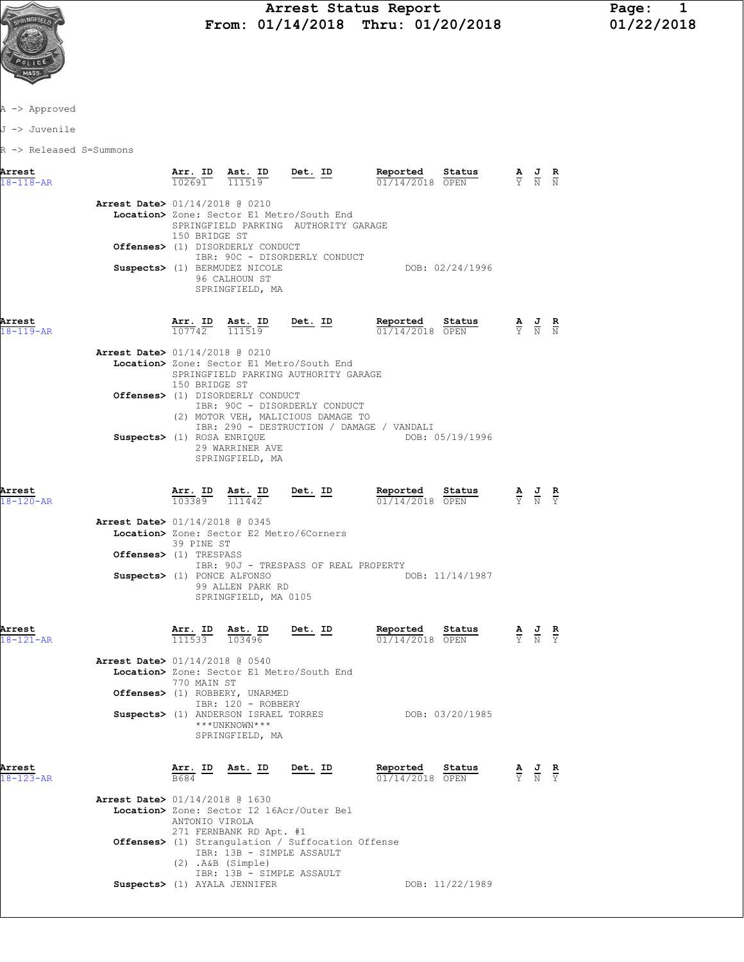

## Arrest Status Report Page: 1<br>01/14/2018 Thru: 01/20/2018 01/22/2018  $\frac{1}{2}$  **From:** 01/14/2018 Thru: 01/20/2018

A -> Approved

J -> Juvenile

R -> Released S=Summons

| Arrest<br>$18 - 118 - AR$ |                                                          | Arr. ID Ast. ID<br>$10\overline{2691}$ | 111519                                                                                                                                               | Det. ID        | Reported<br>01/14/2018 OPEN   | Status          | $\frac{\mathbf{A}}{\mathbf{Y}}$ $\frac{\mathbf{J}}{\mathbf{N}}$ $\frac{\mathbf{R}}{\mathbf{N}}$ |                                                                                                       |                               |
|---------------------------|----------------------------------------------------------|----------------------------------------|------------------------------------------------------------------------------------------------------------------------------------------------------|----------------|-------------------------------|-----------------|-------------------------------------------------------------------------------------------------|-------------------------------------------------------------------------------------------------------|-------------------------------|
|                           | Arrest Date> 01/14/2018 @ 0210                           |                                        | Location> Zone: Sector E1 Metro/South End                                                                                                            |                |                               |                 |                                                                                                 |                                                                                                       |                               |
|                           |                                                          | 150 BRIDGE ST                          | SPRINGFIELD PARKING AUTHORITY GARAGE<br>Offenses> (1) DISORDERLY CONDUCT                                                                             |                |                               |                 |                                                                                                 |                                                                                                       |                               |
|                           |                                                          |                                        | IBR: 90C - DISORDERLY CONDUCT<br>Suspects> (1) BERMUDEZ NICOLE<br>96 CALHOUN ST<br>SPRINGFIELD, MA                                                   |                |                               | DOB: 02/24/1996 |                                                                                                 |                                                                                                       |                               |
| Arrest<br>$18 - 119 - AR$ |                                                          |                                        | $\frac{\texttt{Arr. ID}}{107742}$ $\frac{\texttt{ Ast. ID}}{111519}$                                                                                 | <u>Det. ID</u> | Reported<br>$01/14/2018$ OPEN | Status          |                                                                                                 | $\frac{\mathbf{A}}{\overline{Y}}$ $\frac{\mathbf{J}}{\overline{N}}$ $\frac{\mathbf{R}}{\overline{N}}$ |                               |
|                           | Arrest Date> 01/14/2018 @ 0210                           | 150 BRIDGE ST                          | Location> Zone: Sector E1 Metro/South End<br>SPRINGFIELD PARKING AUTHORITY GARAGE                                                                    |                |                               |                 |                                                                                                 |                                                                                                       |                               |
|                           |                                                          |                                        | Offenses> (1) DISORDERLY CONDUCT<br>IBR: 90C - DISORDERLY CONDUCT<br>(2) MOTOR VEH, MALICIOUS DAMAGE TO<br>IBR: 290 - DESTRUCTION / DAMAGE / VANDALI |                |                               |                 |                                                                                                 |                                                                                                       |                               |
|                           | Suspects> (1) ROSA ENRIOUE                               |                                        | 29 WARRINER AVE<br>SPRINGFIELD, MA                                                                                                                   |                |                               | DOB: 05/19/1996 |                                                                                                 |                                                                                                       |                               |
| Arrest<br>$18 - 120 - AR$ |                                                          | <u>Arr. ID</u><br>103389               | $\frac{\texttt{Ast.}}{111442}$ Det. ID                                                                                                               |                | Reported<br>01/14/2018 OPEN   | Status          | $\frac{A}{Y}$ $\frac{J}{N}$ $\frac{R}{Y}$                                                       |                                                                                                       |                               |
|                           | Arrest Date> 01/14/2018 @ 0345<br>Offenses> (1) TRESPASS | 39 PINE ST                             | Location> Zone: Sector E2 Metro/6Corners                                                                                                             |                |                               |                 |                                                                                                 |                                                                                                       |                               |
|                           | Suspects> (1) PONCE ALFONSO                              |                                        | IBR: 90J - TRESPASS OF REAL PROPERTY<br>99 ALLEN PARK RD<br>SPRINGFIELD, MA 0105                                                                     |                |                               | DOB: 11/14/1987 |                                                                                                 |                                                                                                       |                               |
| Arrest<br>$18 - 121 - AR$ |                                                          |                                        | $\frac{\texttt{Arr. ID}}{111533}$ $\frac{\texttt{ Ast. ID}}{103496}$                                                                                 | $Det. ID$      | Reported<br>01/14/2018 OPEN   | Status          |                                                                                                 | $\frac{\mathbf{A}}{\mathbf{Y}}$ $\frac{\mathbf{J}}{\mathbf{N}}$ $\frac{\mathbf{R}}{\mathbf{Y}}$       |                               |
|                           | Arrest Date> 01/14/2018 @ 0540                           | 770 MAIN ST                            | Location> Zone: Sector E1 Metro/South End                                                                                                            |                |                               |                 |                                                                                                 |                                                                                                       |                               |
|                           |                                                          |                                        | Offenses> (1) ROBBERY, UNARMED<br>IBR: 120 - ROBBERY<br>Suspects> (1) ANDERSON ISRAEL TORRES<br>***UNKNOWN***<br>SPRINGFIELD, MA                     |                |                               | DOB: 03/20/1985 |                                                                                                 |                                                                                                       |                               |
| Arrest<br>18-123-AR       |                                                          | Arr. ID                                | Ast. ID                                                                                                                                              | Det. ID        | Reported<br>01/14/2018 OPEN   | Status          |                                                                                                 | $\frac{\mathbf{A}}{\nabla}$ $\frac{\mathbf{J}}{\nabla}$                                               | $rac{\mathbf{R}}{\mathbf{Y}}$ |
|                           | Arrest Date> 01/14/2018 @ 1630                           | ANTONIO VIROLA                         | Location> Zone: Sector I2 16Acr/Outer Bel<br>271 FERNBANK RD Apt. #1                                                                                 |                |                               |                 |                                                                                                 |                                                                                                       |                               |
|                           |                                                          |                                        | <b>Offenses&gt;</b> (1) Strangulation / Suffocation Offense<br>IBR: 13B - SIMPLE ASSAULT<br>$(2)$ . A&B $(Simple)$<br>IBR: 13B - SIMPLE ASSAULT      |                |                               |                 |                                                                                                 |                                                                                                       |                               |
|                           |                                                          |                                        | Suspects> (1) AYALA JENNIFER                                                                                                                         |                |                               | DOB: 11/22/1989 |                                                                                                 |                                                                                                       |                               |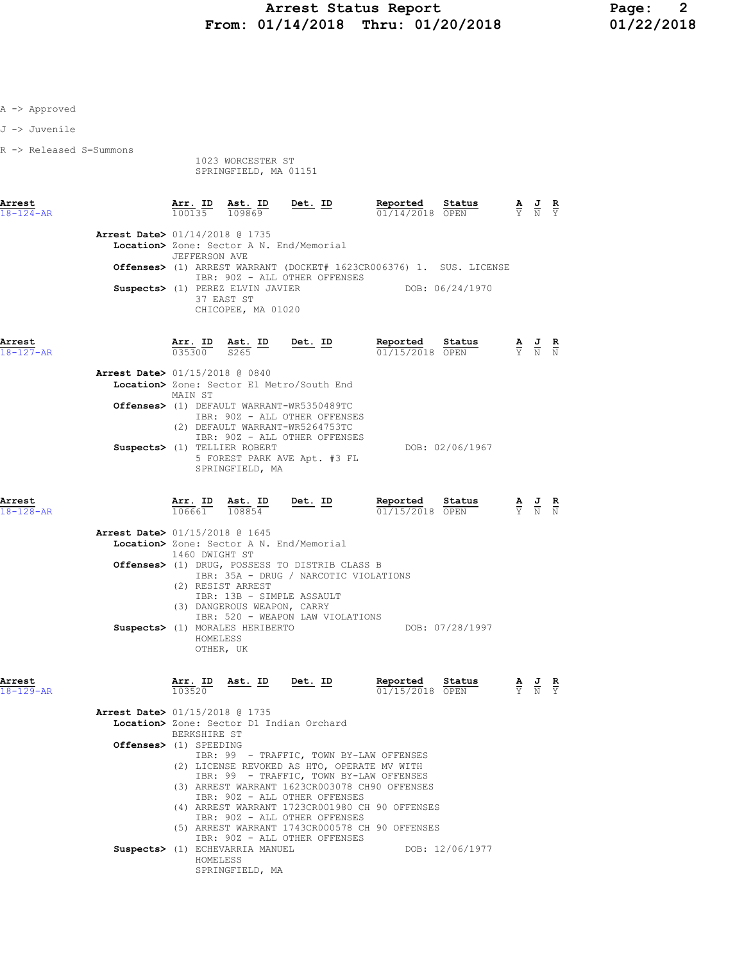| A -> Approved             |                                                          |                   |                                                                                                              |                                                                                                                                                                                                                             |                                                                                                                                                                                                                                                                                                                                       |                 |                                                                                                 |
|---------------------------|----------------------------------------------------------|-------------------|--------------------------------------------------------------------------------------------------------------|-----------------------------------------------------------------------------------------------------------------------------------------------------------------------------------------------------------------------------|---------------------------------------------------------------------------------------------------------------------------------------------------------------------------------------------------------------------------------------------------------------------------------------------------------------------------------------|-----------------|-------------------------------------------------------------------------------------------------|
| J -> Juvenile             |                                                          |                   |                                                                                                              |                                                                                                                                                                                                                             |                                                                                                                                                                                                                                                                                                                                       |                 |                                                                                                 |
| R -> Released S=Summons   |                                                          |                   | 1023 WORCESTER ST<br>SPRINGFIELD, MA 01151                                                                   |                                                                                                                                                                                                                             |                                                                                                                                                                                                                                                                                                                                       |                 |                                                                                                 |
| Arrest<br>$18 - 124 - AR$ |                                                          |                   |                                                                                                              |                                                                                                                                                                                                                             | $\frac{\texttt{Arr. ID}}{100135} \quad \frac{\texttt{Ast. ID}}{109869} \qquad \frac{\texttt{Det. ID}}{\texttt{D}} \qquad \qquad \frac{\texttt{Reported}}{01/14/2018} \quad \frac{\texttt{status}}{\texttt{OPEN}} \qquad \qquad \frac{\texttt{A}}{\texttt{Y}} \quad \frac{\texttt{J}}{\texttt{N}} \quad \frac{\texttt{R}}{\texttt{Y}}$ |                 |                                                                                                 |
|                           | <b>Arrest Date&gt; 01/14/2018 @ 1735</b>                 | JEFFERSON AVE     | 37 EAST ST<br>CHICOPEE, MA 01020                                                                             | Location> Zone: Sector A N. End/Memorial<br>IBR: 90Z - ALL OTHER OFFENSES<br>Suspects> (1) PEREZ ELVIN JAVIER                                                                                                               | <b>Offenses&gt;</b> (1) ARREST WARRANT (DOCKET# 1623CR006376) 1. SUS. LICENSE<br>DOB: 06/24/1970                                                                                                                                                                                                                                      |                 |                                                                                                 |
| Arrest<br>$18 - 127 - AR$ |                                                          |                   |                                                                                                              |                                                                                                                                                                                                                             | <b>Arr. ID</b> Ast. ID Det. ID Reported Status $\frac{0.35300}{0.35300}$ $\frac{0.35300}{0.35300}$<br>01/15/2018 OPEN                                                                                                                                                                                                                 |                 | $\frac{\mathbf{A}}{\mathbf{Y}}$ $\frac{\mathbf{J}}{\mathbf{N}}$ $\frac{\mathbf{R}}{\mathbf{N}}$ |
|                           | <b>Arrest Date&gt; 01/15/2018 @ 0840</b>                 | MAIN ST           | Suspects> (1) TELLIER ROBERT<br>SPRINGFIELD, MA                                                              | Location> Zone: Sector E1 Metro/South End<br>Offenses> (1) DEFAULT WARRANT-WR5350489TC<br>IBR: 90Z - ALL OTHER OFFENSES<br>(2) DEFAULT WARRANT-WR5264753TC<br>IBR: 90Z - ALL OTHER OFFENSES<br>5 FOREST PARK AVE Apt. #3 FL |                                                                                                                                                                                                                                                                                                                                       | DOB: 02/06/1967 |                                                                                                 |
| Arrest<br>$18 - 128 - AR$ |                                                          |                   |                                                                                                              |                                                                                                                                                                                                                             | <b>Arr. ID</b> Ast. ID Det. ID Reported Status 106661 108854 $\frac{10}{108854}$                                                                                                                                                                                                                                                      |                 | $\frac{\mathbf{A}}{\mathbf{Y}}$ $\frac{\mathbf{J}}{\mathbf{N}}$ $\frac{\mathbf{R}}{\mathbf{N}}$ |
|                           | <b>Arrest Date&gt;</b> 01/15/2018 @ 1645                 | 1460 DWIGHT ST    | (2) RESIST ARREST<br>(3) DANGEROUS WEAPON, CARRY<br>Suspects> (1) MORALES HERIBERTO<br>HOMELESS<br>OTHER, UK | Location> Zone: Sector A N. End/Memorial<br>Offenses> (1) DRUG, POSSESS TO DISTRIB CLASS B<br>IBR: 35A - DRUG / NARCOTIC VIOLATIONS<br>IBR: 13B - SIMPLE ASSAULT<br>IBR: 520 - WEAPON LAW VIOLATIONS                        |                                                                                                                                                                                                                                                                                                                                       | DOB: 07/28/1997 |                                                                                                 |
| Arrest<br>$18 - 129 - AR$ |                                                          | Arr. ID<br>103520 |                                                                                                              | Ast. ID Det. ID                                                                                                                                                                                                             | Reported<br>01/15/2018 OPEN                                                                                                                                                                                                                                                                                                           | Status          | $\frac{\mathbf{A}}{\mathbf{Y}}$ $\frac{\mathbf{J}}{\mathbf{N}}$ $\frac{\mathbf{R}}{\mathbf{Y}}$ |
|                           | Arrest Date> 01/15/2018 @ 1735<br>Offenses> (1) SPEEDING | BERKSHIRE ST      |                                                                                                              | Location> Zone: Sector D1 Indian Orchard<br>IBR: 90Z - ALL OTHER OFFENSES<br>IBR: 90Z - ALL OTHER OFFENSES                                                                                                                  | IBR: 99 - TRAFFIC, TOWN BY-LAW OFFENSES<br>(2) LICENSE REVOKED AS HTO, OPERATE MV WITH<br>IBR: 99 - TRAFFIC, TOWN BY-LAW OFFENSES<br>(3) ARREST WARRANT 1623CR003078 CH90 OFFENSES<br>(4) ARREST WARRANT 1723CR001980 CH 90 OFFENSES                                                                                                  |                 |                                                                                                 |
|                           |                                                          |                   | Suspects> (1) ECHEVARRIA MANUEL                                                                              | IBR: 90Z - ALL OTHER OFFENSES                                                                                                                                                                                               | (5) ARREST WARRANT 1743CR000578 CH 90 OFFENSES                                                                                                                                                                                                                                                                                        | DOB: 12/06/1977 |                                                                                                 |

HOMELESS

SPRINGFIELD, MA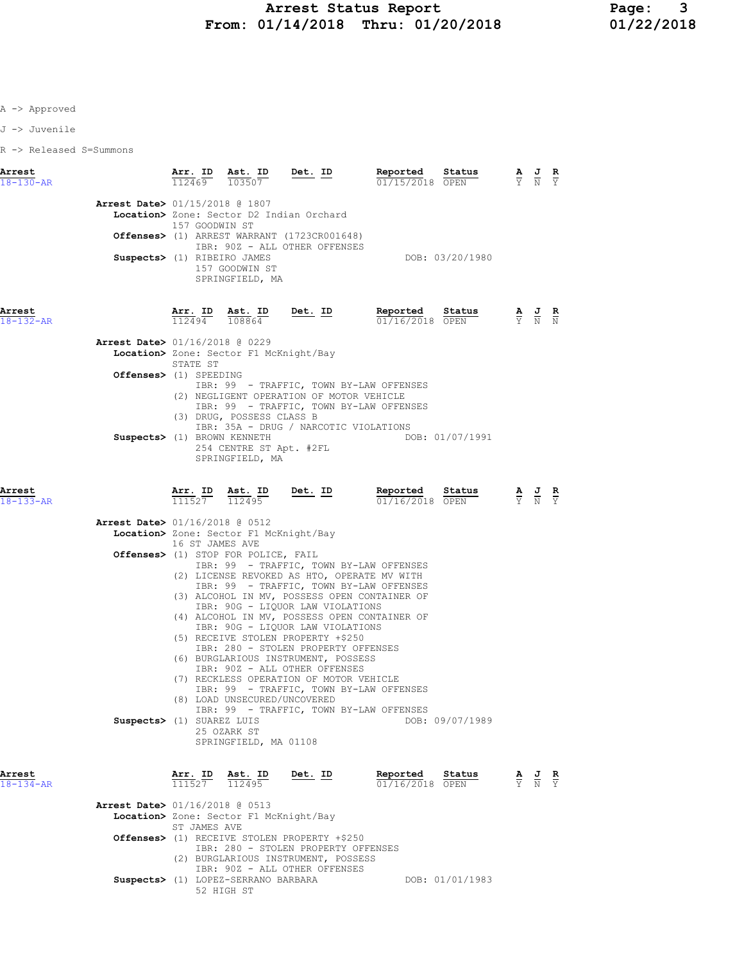J -> Juvenile

R -> Released S=Summons

| <b>Arrest Date&gt; 01/15/2018 @ 1807</b> |                                |                                                                         |                                                                                                                            |                                                                                                                                                 |                 |                                                                                                 | $\frac{\mathbf{A}}{\mathbf{Y}}$ $\frac{\mathbf{J}}{\mathbf{N}}$ $\frac{\mathbf{R}}{\mathbf{Y}}$ |
|------------------------------------------|--------------------------------|-------------------------------------------------------------------------|----------------------------------------------------------------------------------------------------------------------------|-------------------------------------------------------------------------------------------------------------------------------------------------|-----------------|-------------------------------------------------------------------------------------------------|-------------------------------------------------------------------------------------------------|
|                                          | 157 GOODWIN ST                 |                                                                         | Location> Zone: Sector D2 Indian Orchard<br>Offenses> (1) ARREST WARRANT (1723CR001648)<br>IBR: 90Z - ALL OTHER OFFENSES   |                                                                                                                                                 | DOB: 03/20/1980 |                                                                                                 |                                                                                                 |
|                                          | Suspects> (1) RIBEIRO JAMES    | 157 GOODWIN ST<br>SPRINGFIELD, MA                                       |                                                                                                                            |                                                                                                                                                 |                 |                                                                                                 |                                                                                                 |
| Arrest<br>18-132-AR                      | $\frac{\texttt{Arr.}}{112494}$ | $\frac{\texttt{Ast.}}{108864}$                                          | <u>Det.</u> ID                                                                                                             | Reported<br>01/16/2018 OPEN                                                                                                                     | Status          | $\frac{\mathbf{A}}{\mathbf{Y}}$ $\frac{\mathbf{J}}{\mathbf{N}}$ $\frac{\mathbf{R}}{\mathbf{N}}$ |                                                                                                 |
| <b>Arrest Date&gt;</b> 01/16/2018 @ 0229 | STATE ST                       | Location> Zone: Sector F1 McKnight/Bay                                  |                                                                                                                            |                                                                                                                                                 |                 |                                                                                                 |                                                                                                 |
|                                          | Offenses> (1) SPEEDING         |                                                                         | (2) NEGLIGENT OPERATION OF MOTOR VEHICLE                                                                                   | IBR: 99 - TRAFFIC, TOWN BY-LAW OFFENSES<br>IBR: 99 - TRAFFIC, TOWN BY-LAW OFFENSES                                                              |                 |                                                                                                 |                                                                                                 |
|                                          | Suspects> (1) BROWN KENNETH    | (3) DRUG, POSSESS CLASS B<br>254 CENTRE ST Apt. #2FL<br>SPRINGFIELD, MA | IBR: 35A - DRUG / NARCOTIC VIOLATIONS                                                                                      |                                                                                                                                                 | DOB: 01/07/1991 |                                                                                                 |                                                                                                 |
| Arrest<br>$18 - 133 - AR$                | $\frac{\text{Arr.}}{111527}$   |                                                                         |                                                                                                                            | $\underbrace{\textbf{Ast. ID}}_{112495} \qquad \underline{\textbf{Det. ID}}_{01/16/2018} \qquad \underbrace{\textbf{Reported}}_{\textbf{OPTN}}$ |                 | $\frac{\mathbf{A}}{\mathbf{Y}}$ $\frac{\mathbf{J}}{\mathbf{N}}$                                 | $\frac{R}{Y}$                                                                                   |
| Arrest Date> 01/16/2018 @ 0512           |                                |                                                                         |                                                                                                                            |                                                                                                                                                 |                 |                                                                                                 |                                                                                                 |
|                                          | 16 ST JAMES AVE                | Location> Zone: Sector F1 McKnight/Bay                                  |                                                                                                                            |                                                                                                                                                 |                 |                                                                                                 |                                                                                                 |
|                                          |                                | <b>Offenses&gt;</b> (1) STOP FOR POLICE, FAIL                           |                                                                                                                            |                                                                                                                                                 |                 |                                                                                                 |                                                                                                 |
|                                          |                                |                                                                         |                                                                                                                            | IBR: 99 - TRAFFIC, TOWN BY-LAW OFFENSES<br>(2) LICENSE REVOKED AS HTO, OPERATE MV WITH                                                          |                 |                                                                                                 |                                                                                                 |
|                                          |                                |                                                                         | IBR: 90G - LIQUOR LAW VIOLATIONS                                                                                           | IBR: 99 - TRAFFIC, TOWN BY-LAW OFFENSES<br>(3) ALCOHOL IN MV, POSSESS OPEN CONTAINER OF                                                         |                 |                                                                                                 |                                                                                                 |
|                                          |                                |                                                                         | IBR: 90G - LIQUOR LAW VIOLATIONS                                                                                           | (4) ALCOHOL IN MV, POSSESS OPEN CONTAINER OF                                                                                                    |                 |                                                                                                 |                                                                                                 |
|                                          |                                |                                                                         | (5) RECEIVE STOLEN PROPERTY +\$250<br>IBR: 280 - STOLEN PROPERTY OFFENSES<br>(6) BURGLARIOUS INSTRUMENT, POSSESS           |                                                                                                                                                 |                 |                                                                                                 |                                                                                                 |
|                                          |                                |                                                                         | IBR: 90Z - ALL OTHER OFFENSES<br>(7) RECKLESS OPERATION OF MOTOR VEHICLE                                                   |                                                                                                                                                 |                 |                                                                                                 |                                                                                                 |
|                                          |                                | (8) LOAD UNSECURED/UNCOVERED                                            |                                                                                                                            | IBR: 99 - TRAFFIC, TOWN BY-LAW OFFENSES                                                                                                         |                 |                                                                                                 |                                                                                                 |
|                                          | Suspects> (1) SUAREZ LUIS      | 25 OZARK ST                                                             |                                                                                                                            | IBR: 99 - TRAFFIC, TOWN BY-LAW OFFENSES                                                                                                         | DOB: 09/07/1989 |                                                                                                 |                                                                                                 |
| Arrest                                   | Arr. ID                        | SPRINGFIELD, MA 01108<br>Ast. ID                                        | Det. ID                                                                                                                    | Reported                                                                                                                                        | Status          |                                                                                                 |                                                                                                 |
| $18 - 134 - AR$                          | 111527                         | 112495                                                                  |                                                                                                                            | 01/16/2018 OPEN                                                                                                                                 |                 | $\frac{\mathbf{A}}{\mathbf{Y}}$ $\frac{\mathbf{J}}{\mathbf{N}}$ $\frac{\mathbf{R}}{\mathbf{Y}}$ |                                                                                                 |
| Arrest Date> 01/16/2018 @ 0513           |                                |                                                                         |                                                                                                                            |                                                                                                                                                 |                 |                                                                                                 |                                                                                                 |
|                                          | ST JAMES AVE                   | Location> Zone: Sector F1 McKnight/Bay                                  |                                                                                                                            |                                                                                                                                                 |                 |                                                                                                 |                                                                                                 |
|                                          |                                | IBR: 90Z - ALL OTHER OFFENSES                                           | Offenses> (1) RECEIVE STOLEN PROPERTY +\$250<br>IBR: 280 - STOLEN PROPERTY OFFENSES<br>(2) BURGLARIOUS INSTRUMENT, POSSESS |                                                                                                                                                 |                 |                                                                                                 |                                                                                                 |

Suspects> (1) LOPEZ-SERRANO BARBARA DOB: 01/01/1983 52 HIGH ST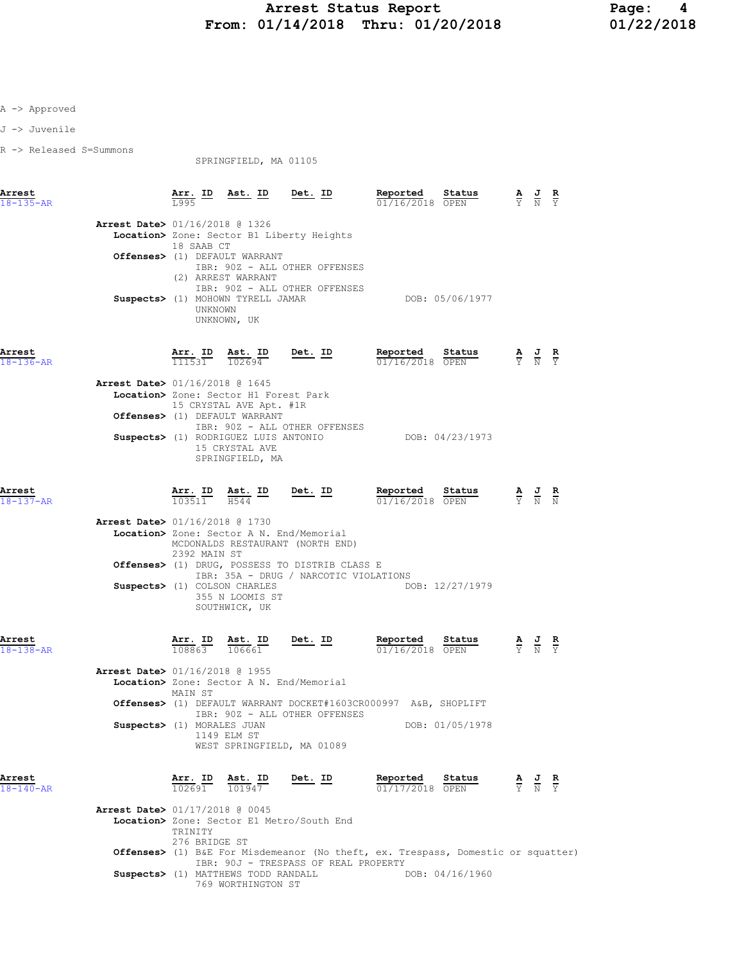J -> Juvenile

R -> Released S=Summons

SPRINGFIELD, MA 01105

| Arrest<br>$18 - 135 - AR$ |                                          |                                | $\frac{\text{Arr.}}{1005}$ ID Ast. ID Det. ID                                |                                                                                         | Reported<br><b>Status</b> $\overline{A}$ <b>J R</b><br>OPEN $\overline{Y}$ <b>N</b> $\overline{Y}$<br>01/16/2018 OPEN |                                                                                                 |                                                                                                 |  |
|---------------------------|------------------------------------------|--------------------------------|------------------------------------------------------------------------------|-----------------------------------------------------------------------------------------|-----------------------------------------------------------------------------------------------------------------------|-------------------------------------------------------------------------------------------------|-------------------------------------------------------------------------------------------------|--|
|                           | Arrest Date> 01/16/2018 @ 1326           | 18 SAAB CT                     |                                                                              | Location> Zone: Sector B1 Liberty Heights                                               |                                                                                                                       |                                                                                                 |                                                                                                 |  |
|                           |                                          |                                | Offenses> (1) DEFAULT WARRANT                                                |                                                                                         |                                                                                                                       |                                                                                                 |                                                                                                 |  |
|                           |                                          |                                | (2) ARREST WARRANT                                                           | IBR: 90Z - ALL OTHER OFFENSES                                                           |                                                                                                                       |                                                                                                 |                                                                                                 |  |
|                           |                                          | UNKNOWN                        | Suspects> (1) MOHOWN TYRELL JAMAR<br>UNKNOWN, UK                             | IBR: 90Z - ALL OTHER OFFENSES                                                           | DOB: 05/06/1977                                                                                                       |                                                                                                 |                                                                                                 |  |
| Arrest<br>18-136-AR       |                                          | $\frac{111531}{111531}$        | <u>Ast. ID</u><br>102694                                                     | Det. ID                                                                                 | Reported<br>Status<br>01/16/2018 OPEN                                                                                 | $\frac{\mathbf{A}}{\mathbf{Y}}$ $\frac{\mathbf{J}}{\mathbf{N}}$ $\frac{\mathbf{R}}{\mathbf{Y}}$ |                                                                                                 |  |
|                           | Arrest Date> 01/16/2018 @ 1645           |                                |                                                                              |                                                                                         |                                                                                                                       |                                                                                                 |                                                                                                 |  |
|                           |                                          |                                | Location> Zone: Sector H1 Forest Park<br>15 CRYSTAL AVE Apt. #1R             |                                                                                         |                                                                                                                       |                                                                                                 |                                                                                                 |  |
|                           |                                          |                                | Offenses> (1) DEFAULT WARRANT                                                |                                                                                         |                                                                                                                       |                                                                                                 |                                                                                                 |  |
|                           |                                          |                                | Suspects> (1) RODRIGUEZ LUIS ANTONIO                                         | IBR: 90Z - ALL OTHER OFFENSES                                                           | DOB: 04/23/1973                                                                                                       |                                                                                                 |                                                                                                 |  |
|                           |                                          |                                | 15 CRYSTAL AVE<br>SPRINGFIELD, MA                                            |                                                                                         |                                                                                                                       |                                                                                                 |                                                                                                 |  |
| Arrest<br>18-137-AR       |                                          |                                | $\frac{\texttt{Arr.}}{103511}$ $\frac{\texttt{ Ast.}}{H544}$ ID Det. ID      |                                                                                         | Reported<br>Status<br>$01/16/2018$ OPEN                                                                               |                                                                                                 | $\frac{\mathbf{A}}{\mathbf{Y}}$ $\frac{\mathbf{J}}{\mathbf{N}}$ $\frac{\mathbf{R}}{\mathbf{N}}$ |  |
|                           | Arrest Date> 01/16/2018 @ 1730           |                                |                                                                              |                                                                                         |                                                                                                                       |                                                                                                 |                                                                                                 |  |
|                           |                                          |                                |                                                                              | Location> Zone: Sector A N. End/Memorial                                                |                                                                                                                       |                                                                                                 |                                                                                                 |  |
|                           |                                          | 2392 MAIN ST                   |                                                                              | MCDONALDS RESTAURANT (NORTH END)                                                        |                                                                                                                       |                                                                                                 |                                                                                                 |  |
|                           |                                          |                                |                                                                              | Offenses> (1) DRUG, POSSESS TO DISTRIB CLASS E<br>IBR: 35A - DRUG / NARCOTIC VIOLATIONS |                                                                                                                       |                                                                                                 |                                                                                                 |  |
|                           |                                          |                                | Suspects> (1) COLSON CHARLES<br>355 N LOOMIS ST<br>SOUTHWICK, UK             |                                                                                         | DOB: 12/27/1979                                                                                                       |                                                                                                 |                                                                                                 |  |
| Arrest<br>18-138-AR       |                                          |                                | $\frac{\texttt{Arr. ID}}{108863}$ $\frac{\texttt{ Ast. ID}}{106661}$ Det. ID |                                                                                         | Reported<br>Status<br>01/16/2018 OPEN                                                                                 |                                                                                                 | $\frac{\mathbf{A}}{\mathbf{Y}}$ $\frac{\mathbf{J}}{\mathbf{N}}$ $\frac{\mathbf{R}}{\mathbf{Y}}$ |  |
|                           | Arrest Date> 01/16/2018 @ 1955           |                                |                                                                              |                                                                                         |                                                                                                                       |                                                                                                 |                                                                                                 |  |
|                           |                                          | MAIN ST                        |                                                                              | Location> Zone: Sector A N. End/Memorial                                                |                                                                                                                       |                                                                                                 |                                                                                                 |  |
|                           |                                          |                                |                                                                              | IBR: 902 - ALL OTHER OFFENSES                                                           | Offenses> (1) DEFAULT WARRANT DOCKET#1603CR000997 A&B, SHOPLIFT                                                       |                                                                                                 |                                                                                                 |  |
|                           | Suspects> (1) MORALES JUAN               |                                |                                                                              |                                                                                         | DOB: 01/05/1978                                                                                                       |                                                                                                 |                                                                                                 |  |
|                           |                                          |                                | 1149 ELM ST                                                                  | WEST SPRINGFIELD, MA 01089                                                              |                                                                                                                       |                                                                                                 |                                                                                                 |  |
| Arrest<br>18-140-AR       |                                          | $\frac{\texttt{Arr.}}{102691}$ | $\frac{\text{Ast.}}{101947}$                                                 | <u>Det. ID</u>                                                                          | Reported<br>Status<br>01/17/2018 OPEN                                                                                 |                                                                                                 | $\frac{\mathbf{A}}{\mathbf{Y}}$ $\frac{\mathbf{J}}{\mathbf{N}}$ $\frac{\mathbf{R}}{\mathbf{Y}}$ |  |
|                           | <b>Arrest Date&gt; 01/17/2018 @ 0045</b> | TRINITY                        |                                                                              | Location> Zone: Sector E1 Metro/South End                                               |                                                                                                                       |                                                                                                 |                                                                                                 |  |
|                           |                                          | 276 BRIDGE ST                  |                                                                              |                                                                                         | Offenses> (1) B&E For Misdemeanor (No theft, ex. Trespass, Domestic or squatter)                                      |                                                                                                 |                                                                                                 |  |
|                           |                                          |                                | Suspects> (1) MATTHEWS TODD RANDALL                                          | IBR: 90J - TRESPASS OF REAL PROPERTY                                                    | DOB: 04/16/1960                                                                                                       |                                                                                                 |                                                                                                 |  |
|                           |                                          |                                | 769 WORTHINGTON ST                                                           |                                                                                         |                                                                                                                       |                                                                                                 |                                                                                                 |  |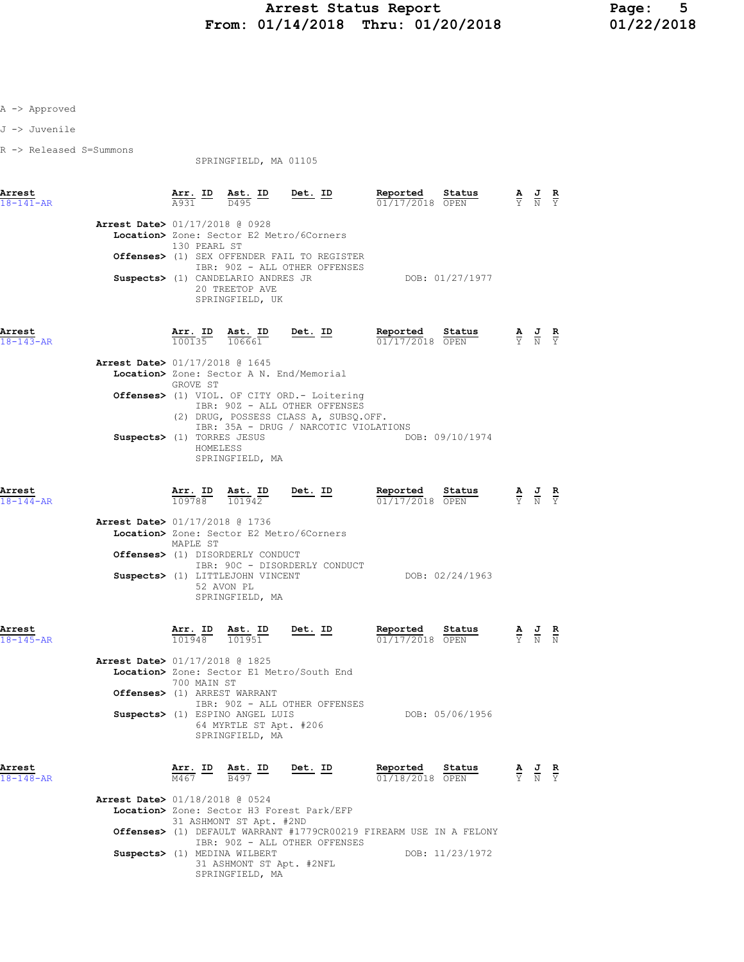J -> Juvenile

R -> Released S=Summons

SPRINGFIELD, MA 01105

| Arrest<br>$18 - 141 - AR$ | Ast. ID<br>Det. ID<br>Arr. ID<br>A931<br>D495                                | Reported<br>Status<br>01/17/2018 OPEN | A<br>$\overline{Y}$ $\overline{N}$ $\overline{Y}$ | J R |  |
|---------------------------|------------------------------------------------------------------------------|---------------------------------------|---------------------------------------------------|-----|--|
|                           | Arrest Date> 01/17/2018 @ 0928                                               |                                       |                                                   |     |  |
|                           | Location> Zone: Sector E2 Metro/6Corners<br>130 PEARL ST                     |                                       |                                                   |     |  |
|                           | Offenses> (1) SEX OFFENDER FAIL TO REGISTER<br>IBR: 90Z - ALL OTHER OFFENSES |                                       |                                                   |     |  |
|                           | Suspects> (1) CANDELARIO ANDRES JR<br>20 TREETOP AVE<br>SPRINGFIELD, UK      | DOB: 01/27/1977                       |                                                   |     |  |

Arrest Arr. ID Ast. ID Det. ID Reported Status A J R

| 18-143-AR |                                | 100135   | 106661                                                                                                                                                          | 01/17/2018 OPEN |                 | YNY |  |
|-----------|--------------------------------|----------|-----------------------------------------------------------------------------------------------------------------------------------------------------------------|-----------------|-----------------|-----|--|
|           | Arrest Date> 01/17/2018 @ 1645 |          |                                                                                                                                                                 |                 |                 |     |  |
|           |                                | GROVE ST | Location> Zone: Sector A N. End/Memorial                                                                                                                        |                 |                 |     |  |
|           |                                |          | Offenses> (1) VIOL. OF CITY ORD. - Loitering<br>IBR: 90Z - ALL OTHER OFFENSES<br>(2) DRUG, POSSESS CLASS A, SUBSQ.OFF.<br>IBR: 35A - DRUG / NARCOTIC VIOLATIONS |                 |                 |     |  |
|           | Suspects> (1) TORRES JESUS     | HOMELESS | SPRINGFIELD, MA                                                                                                                                                 |                 | DOB: 09/10/1974 |     |  |

Arrest Arr. ID Ast. ID Det. ID Reported Status A J R 18-144-AR 109788 101942 01/17/2018 OPEN Y N Y Arrest Date> 01/17/2018 @ 1736 Location> Zone: Sector E2 Metro/6Corners MAPLE ST Offenses> (1) DISORDERLY CONDUCT IBR: 90C - DISORDERLY CONDUCT Suspects> (1) LITTLEJOHN VINCENT CONDUCT DOB: 02/24/1963 52 AVON PL SPRINGFIELD, MA Arrest Arr. ID Ast. ID Det. ID Reported Status A J R 18-145-AR 101948 101951 01/17/2018 OPEN Y N N Arrest Date> 01/17/2018 @ 1825 Location> Zone: Sector E1 Metro/South End 700 MAIN ST Offenses> (1) ARREST WARRANT IBR: 90Z - ALL OTHER OFFENSES

| IBR: 90Z - ALL OTHER OFFENSES   |                 |
|---------------------------------|-----------------|
| Suspects> (1) ESPINO ANGEL LUIS | DOB: 05/06/1956 |
| 64 MYRTLE ST Apt. #206          |                 |
| SPRINGFIELD, MA                 |                 |
|                                 |                 |

| Arrest<br>$18 - 148 - AR$      | M467 | Arr. ID Ast. ID<br>B497      | Det. ID                                   | Reported<br>01/18/2018 OPEN                                        | Status          | $\mathbf{A}$ | 프<br>$\overline{Y}$ $\overline{N}$ $\overline{Y}$ | R |
|--------------------------------|------|------------------------------|-------------------------------------------|--------------------------------------------------------------------|-----------------|--------------|---------------------------------------------------|---|
| Arrest Date> 01/18/2018 @ 0524 |      |                              |                                           |                                                                    |                 |              |                                                   |   |
|                                |      |                              | Location> Zone: Sector H3 Forest Park/EFP |                                                                    |                 |              |                                                   |   |
|                                |      | 31 ASHMONT ST Apt. #2ND      |                                           |                                                                    |                 |              |                                                   |   |
|                                |      |                              |                                           | Offenses> (1) DEFAULT WARRANT #1779CR00219 FIREARM USE IN A FELONY |                 |              |                                                   |   |
|                                |      |                              | IBR: 90Z - ALL OTHER OFFENSES             |                                                                    |                 |              |                                                   |   |
|                                |      | Suspects> (1) MEDINA WILBERT |                                           |                                                                    | DOB: 11/23/1972 |              |                                                   |   |
|                                |      | 31 ASHMONT ST Apt. #2NFL     |                                           |                                                                    |                 |              |                                                   |   |

SPRINGFIELD, MA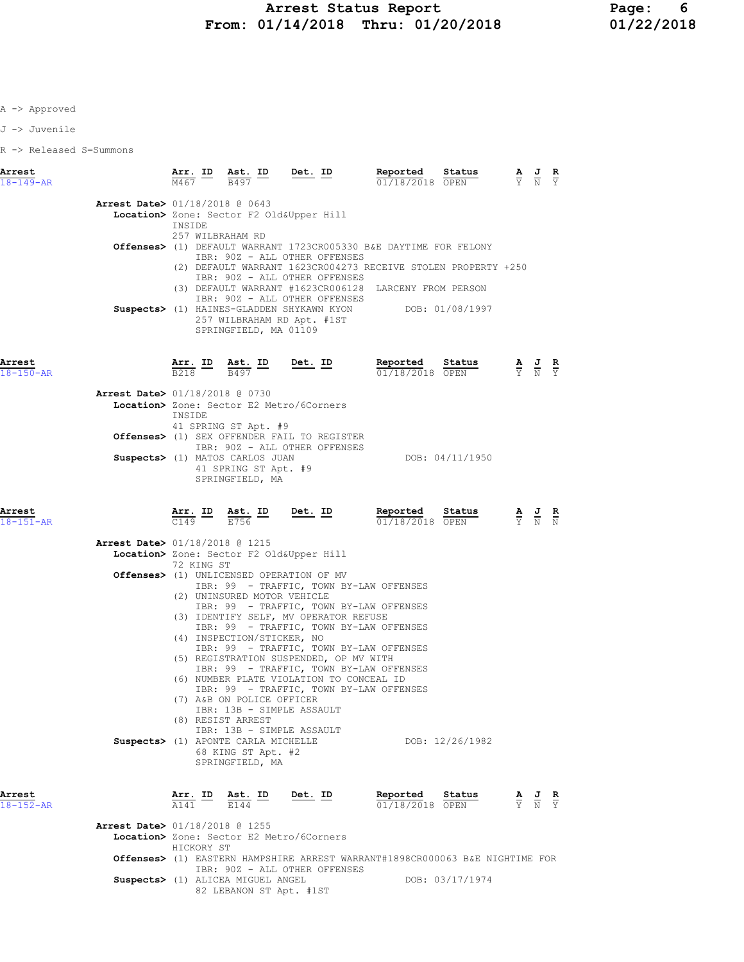J -> Juvenile

R -> Released S=Summons

| Arrest<br>$18 - 149 - AR$                |                            | $\frac{\texttt{Arr.}}{\texttt{M467}}$ ID $\frac{\texttt{Ast.}}{\texttt{B497}}$ ID Det. ID                                                                                                                                                                                                                                  |         | Reported<br>01/18/2018 OPEN                                                                                                                                                                 | Status          |                                                                                                 |                                                                                                 |  |
|------------------------------------------|----------------------------|----------------------------------------------------------------------------------------------------------------------------------------------------------------------------------------------------------------------------------------------------------------------------------------------------------------------------|---------|---------------------------------------------------------------------------------------------------------------------------------------------------------------------------------------------|-----------------|-------------------------------------------------------------------------------------------------|-------------------------------------------------------------------------------------------------|--|
| <b>Arrest Date&gt; 01/18/2018 @ 0643</b> | INSIDE<br>257 WILBRAHAM RD | Location> Zone: Sector F2 Old&Upper Hill                                                                                                                                                                                                                                                                                   |         |                                                                                                                                                                                             |                 |                                                                                                 |                                                                                                 |  |
|                                          |                            | IBR: 90Z - ALL OTHER OFFENSES<br>IBR: 90Z - ALL OTHER OFFENSES<br>IBR: 90Z - ALL OTHER OFFENSES                                                                                                                                                                                                                            |         | Offenses> (1) DEFAULT WARRANT 1723CR005330 B&E DAYTIME FOR FELONY<br>(2) DEFAULT WARRANT 1623CR004273 RECEIVE STOLEN PROPERTY +250<br>(3) DEFAULT WARRANT #1623CR006128 LARCENY FROM PERSON |                 |                                                                                                 |                                                                                                 |  |
|                                          |                            | 257 WILBRAHAM RD Apt. #1ST<br>SPRINGFIELD, MA 01109                                                                                                                                                                                                                                                                        |         | Suspects> (1) HAINES-GLADDEN SHYKAWN KYON DOB: 01/08/1997                                                                                                                                   |                 |                                                                                                 |                                                                                                 |  |
| Arrest<br>$18 - 150 - AR$                |                            | $\frac{\texttt{Arr.}}{\texttt{B218}}$ ID $\frac{\texttt{ Ast.}}{\texttt{B497}}$ ID Det. ID                                                                                                                                                                                                                                 |         | Reported<br>$\overline{01/18/2018}$ OPEN                                                                                                                                                    | Status          |                                                                                                 | $\frac{\mathbf{A}}{\mathbf{Y}}$ $\frac{\mathbf{J}}{\mathbf{N}}$ $\frac{\mathbf{R}}{\mathbf{Y}}$ |  |
| Arrest Date> 01/18/2018 @ 0730           | INSIDE                     | Location> Zone: Sector E2 Metro/6Corners<br>41 SPRING ST Apt. #9                                                                                                                                                                                                                                                           |         |                                                                                                                                                                                             |                 |                                                                                                 |                                                                                                 |  |
|                                          |                            | Offenses> (1) SEX OFFENDER FAIL TO REGISTER<br>IBR: 90Z - ALL OTHER OFFENSES<br>Suspects> (1) MATOS CARLOS JUAN<br>41 SPRING ST Apt. #9<br>SPRINGFIELD, MA                                                                                                                                                                 |         |                                                                                                                                                                                             | DOB: 04/11/1950 |                                                                                                 |                                                                                                 |  |
| Arrest<br>$18 - 151 - AR$                |                            |                                                                                                                                                                                                                                                                                                                            |         | <b>Arr. ID</b> Ast. ID Det. ID Reported<br>$\frac{1}{2149}$ $\frac{1}{2756}$ $\frac{1}{2756}$ $\frac{1}{2149}$ $\frac{1}{214872018}$<br>$01/18/2018$ OPEN                                   | Status          | $\frac{\mathbf{A}}{\mathbf{Y}}$ $\frac{\mathbf{J}}{\mathbf{N}}$ $\frac{\mathbf{R}}{\mathbf{N}}$ |                                                                                                 |  |
| Arrest Date> 01/18/2018 @ 1215           | 72 KING ST                 | Location> Zone: Sector F2 Old&Upper Hill                                                                                                                                                                                                                                                                                   |         |                                                                                                                                                                                             |                 |                                                                                                 |                                                                                                 |  |
|                                          |                            | Offenses> (1) UNLICENSED OPERATION OF MV<br>IBR: 99 - TRAFFIC, TOWN BY-LAW OFFENSES<br>(2) UNINSURED MOTOR VEHICLE<br>IBR: 99 - TRAFFIC, TOWN BY-LAW OFFENSES<br>(3) IDENTIFY SELF, MV OPERATOR REFUSE<br>IBR: 99 - TRAFFIC, TOWN BY-LAW OFFENSES<br>(4) INSPECTION/STICKER, NO<br>IBR: 99 - TRAFFIC, TOWN BY-LAW OFFENSES |         |                                                                                                                                                                                             |                 |                                                                                                 |                                                                                                 |  |
|                                          |                            | (5) REGISTRATION SUSPENDED, OP MV WITH<br>IBR: 99 - TRAFFIC, TOWN BY-LAW OFFENSES<br>(6) NUMBER PLATE VIOLATION TO CONCEAL ID<br>IBR: 99 - TRAFFIC, TOWN BY-LAW OFFENSES<br>(7) A&B ON POLICE OFFICER<br>IBR: 13B - SIMPLE ASSAULT<br>(8) RESIST ARREST                                                                    |         |                                                                                                                                                                                             |                 |                                                                                                 |                                                                                                 |  |
|                                          |                            | IBR: 13B - SIMPLE ASSAULT<br>Suspects> (1) APONTE CARLA MICHELLE<br>68 KING ST Apt. #2<br>SPRINGFIELD, MA                                                                                                                                                                                                                  |         |                                                                                                                                                                                             | DOB: 12/26/1982 |                                                                                                 |                                                                                                 |  |
| Arrest<br>$18 - 152 - AR$                | Arr. ID<br>A141            | Ast. ID<br><b>E144</b>                                                                                                                                                                                                                                                                                                     | Det. ID | Reported<br>01/18/2018 OPEN                                                                                                                                                                 | Status          |                                                                                                 | $\frac{\mathbf{A}}{\mathbf{Y}}$ $\frac{\mathbf{J}}{\mathbf{N}}$ $\frac{\mathbf{R}}{\mathbf{Y}}$ |  |
| Arrest Date> 01/18/2018 @ 1255           | HICKORY ST                 | Location> Zone: Sector E2 Metro/6Corners                                                                                                                                                                                                                                                                                   |         |                                                                                                                                                                                             |                 |                                                                                                 |                                                                                                 |  |
|                                          |                            | IBR: 90Z - ALL OTHER OFFENSES                                                                                                                                                                                                                                                                                              |         | Offenses> (1) EASTERN HAMPSHIRE ARREST WARRANT#1898CR000063 B&E NIGHTIME FOR                                                                                                                |                 |                                                                                                 |                                                                                                 |  |
|                                          |                            | Suspects> (1) ALICEA MIGUEL ANGEL<br>82 LEBANON ST Apt. #1ST                                                                                                                                                                                                                                                               |         |                                                                                                                                                                                             | DOB: 03/17/1974 |                                                                                                 |                                                                                                 |  |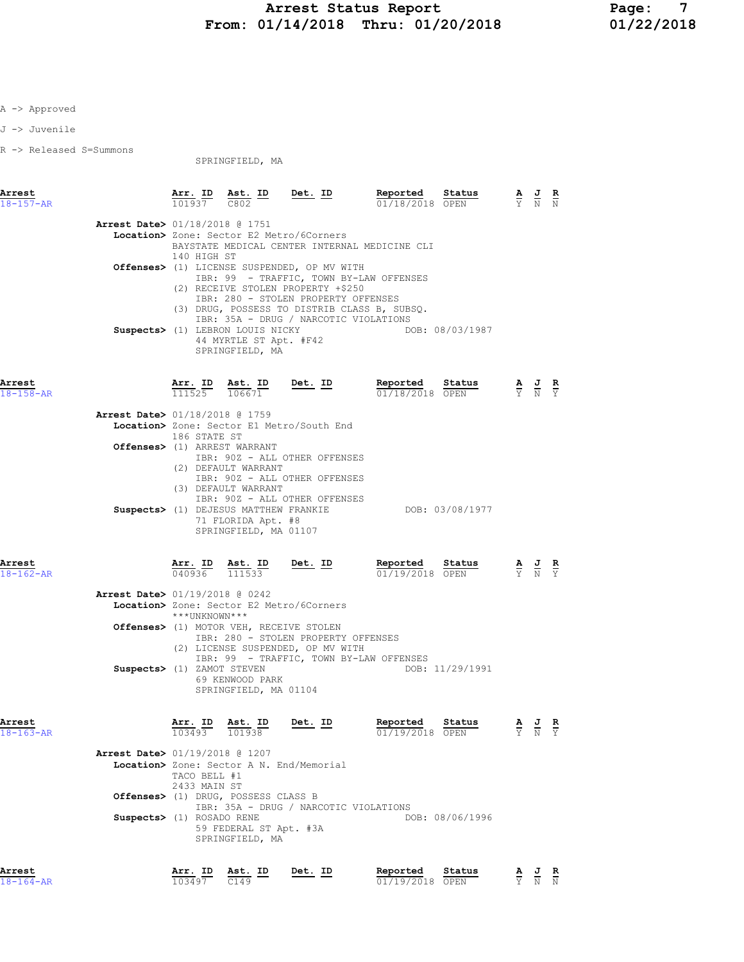J -> Juvenile

R -> Released S=Summons

| SPRINGFIELD, MA |  |
|-----------------|--|
|-----------------|--|

| Arrest<br>$18 - 157 - AR$                                   |                                                           |                                                                                   | $\frac{\texttt{Arr. ID}}{101937}$ $\frac{\texttt{ Ast. ID}}{C802}$ $\frac{\texttt{Det. ID}}{C802}$                                                                                                                                                                                                                                                        | <b>Reported Status A J R</b> $\frac{1}{01/18/2018}$ OPEN $\frac{1}{Y}$ N N |                                                                                                 |  |
|-------------------------------------------------------------|-----------------------------------------------------------|-----------------------------------------------------------------------------------|-----------------------------------------------------------------------------------------------------------------------------------------------------------------------------------------------------------------------------------------------------------------------------------------------------------------------------------------------------------|----------------------------------------------------------------------------|-------------------------------------------------------------------------------------------------|--|
| Arrest Date> 01/18/2018 @ 1751                              | 140 HIGH ST                                               | Suspects> (1) LEBRON LOUIS NICKY<br>44 MYRTLE ST Apt. #F42                        | Location> Zone: Sector E2 Metro/6Corners<br>BAYSTATE MEDICAL CENTER INTERNAL MEDICINE CLI<br>Offenses> (1) LICENSE SUSPENDED, OP MV WITH<br>IBR: 99 - TRAFFIC, TOWN BY-LAW OFFENSES<br>(2) RECEIVE STOLEN PROPERTY +\$250<br>IBR: 280 - STOLEN PROPERTY OFFENSES<br>(3) DRUG, POSSESS TO DISTRIB CLASS B, SUBSQ.<br>IBR: 35A - DRUG / NARCOTIC VIOLATIONS | DOB: 08/03/1987                                                            |                                                                                                 |  |
| Arrest<br>$18 - 158 - AR$<br>Arrest Date> 01/18/2018 @ 1759 |                                                           | SPRINGFIELD, MA                                                                   | $\frac{\texttt{Arr. ID}}{111525}$ $\frac{\texttt{ Ast. ID}}{106671}$ Det. ID<br>Location> Zone: Sector E1 Metro/South End                                                                                                                                                                                                                                 | Reported Status<br>01/18/2018 OPEN                                         | $\frac{\mathbf{A}}{\mathbf{Y}}$ $\frac{\mathbf{J}}{\mathbf{N}}$ $\frac{\mathbf{R}}{\mathbf{Y}}$ |  |
|                                                             | 186 STATE ST<br>Offenses> (1) ARREST WARRANT              | (2) DEFAULT WARRANT<br>(3) DEFAULT WARRANT<br>71 FLORIDA Apt. #8                  | IBR: 90Z - ALL OTHER OFFENSES<br>IBR: 90Z - ALL OTHER OFFENSES<br>IBR: 90Z - ALL OTHER OFFENSES<br>Suspects> (1) DEJESUS MATTHEW FRANKIE                                                                                                                                                                                                                  | DOB: 03/08/1977                                                            |                                                                                                 |  |
| Arrest<br>$18 - 162 - AR$                                   | $\overline{040936}$ $\overline{111533}$                   | SPRINGFIELD, MA 01107<br>Arr. ID Ast. ID                                          | $Det. ID$                                                                                                                                                                                                                                                                                                                                                 | Reported Status<br>01/19/2018 OPEN                                         | $\frac{\mathbf{A}}{\mathbf{Y}}$ $\frac{\mathbf{J}}{\mathbf{N}}$ $\frac{\mathbf{R}}{\mathbf{Y}}$ |  |
| <b>Arrest Date&gt; 01/19/2018 @ 0242</b>                    | ***UNKNOWN***<br>Suspects> (1) ZAMOT STEVEN               | Offenses> (1) MOTOR VEH, RECEIVE STOLEN<br>69 KENWOOD PARK                        | Location> Zone: Sector E2 Metro/6Corners<br>IBR: 280 - STOLEN PROPERTY OFFENSES<br>(2) LICENSE SUSPENDED, OP MV WITH<br>IBR: 99 - TRAFFIC, TOWN BY-LAW OFFENSES                                                                                                                                                                                           | DOB: 11/29/1991                                                            |                                                                                                 |  |
| Arrest<br>$18 - 163 - AR$<br>Arrest Date> 01/19/2018 @ 1207 |                                                           | SPRINGFIELD, MA 01104<br>$\frac{A11.1}{103493}$ $\frac{A31.1}{101938}$            | $\frac{\text{Arr. ID}}{103493}$ $\frac{\text{Ast. ID}}{101938}$ $\frac{\text{Det. ID}}{101938}$                                                                                                                                                                                                                                                           | Reported Status<br>01/19/2018 OPEN                                         | AJR<br>$\overline{Y}$ N $\overline{Y}$                                                          |  |
|                                                             | TACO BELL #1<br>2433 MAIN ST<br>Suspects> (1) ROSADO RENE | Offenses> (1) DRUG, POSSESS CLASS B<br>59 FEDERAL ST Apt. #3A<br>SPRINGFIELD, MA  | Location> Zone: Sector A N. End/Memorial<br>IBR: 35A - DRUG / NARCOTIC VIOLATIONS                                                                                                                                                                                                                                                                         | DOB: 08/06/1996                                                            |                                                                                                 |  |
| Arrest<br>$18 - 164 - AR$                                   | 103497                                                    | $\frac{\texttt{Arr.}}{103497}$ $\frac{\texttt{ Ast.}}{0149}$<br>$\overline{C149}$ | Det. ID                                                                                                                                                                                                                                                                                                                                                   | Reported Status<br>01/19/2018 OPEN                                         | $\frac{\mathbf{A}}{\mathbf{Y}}$ $\frac{\mathbf{J}}{\mathbf{N}}$ $\frac{\mathbf{R}}{\mathbf{N}}$ |  |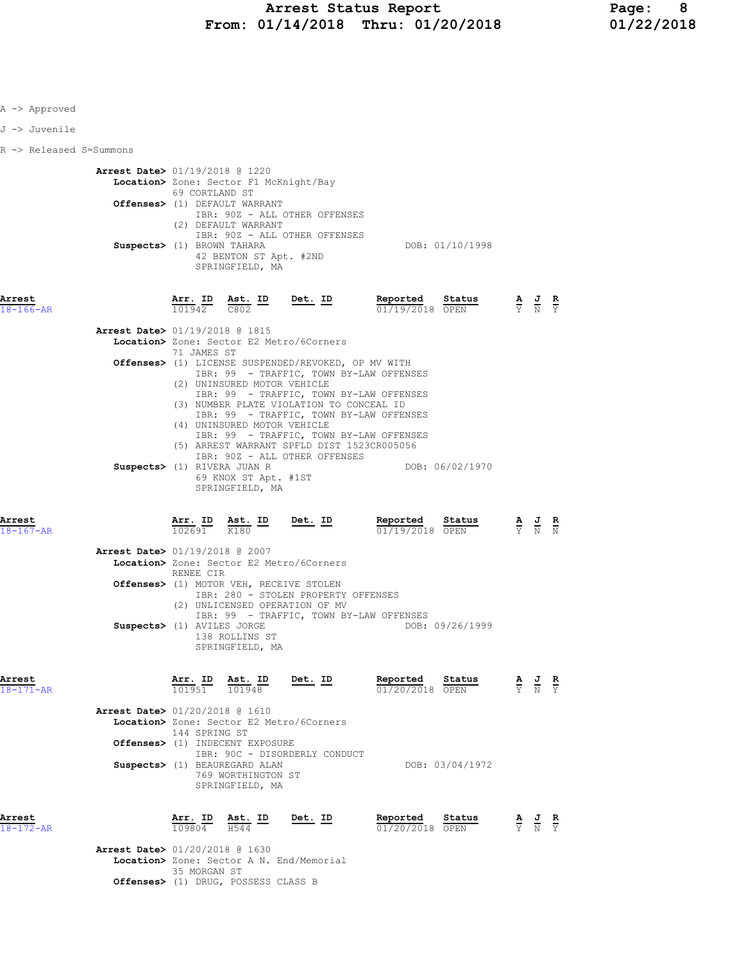| A -> Approved             |                                                              |                                       |                                                                                                                                             |                                                                                                                                                                                                               |                                                                                                                                                                                                                                     |                 |                                                                                                 |                                                                                                 |  |
|---------------------------|--------------------------------------------------------------|---------------------------------------|---------------------------------------------------------------------------------------------------------------------------------------------|---------------------------------------------------------------------------------------------------------------------------------------------------------------------------------------------------------------|-------------------------------------------------------------------------------------------------------------------------------------------------------------------------------------------------------------------------------------|-----------------|-------------------------------------------------------------------------------------------------|-------------------------------------------------------------------------------------------------|--|
| J -> Juvenile             |                                                              |                                       |                                                                                                                                             |                                                                                                                                                                                                               |                                                                                                                                                                                                                                     |                 |                                                                                                 |                                                                                                 |  |
| R -> Released S=Summons   |                                                              |                                       |                                                                                                                                             |                                                                                                                                                                                                               |                                                                                                                                                                                                                                     |                 |                                                                                                 |                                                                                                 |  |
|                           | Arrest Date> 01/19/2018 @ 1220<br>Suspects> (1) BROWN TAHARA | 69 CORTLAND ST                        | Location> Zone: Sector F1 McKnight/Bay<br>Offenses> (1) DEFAULT WARRANT<br>(2) DEFAULT WARRANT<br>42 BENTON ST Apt. #2ND<br>SPRINGFIELD, MA | IBR: 90Z - ALL OTHER OFFENSES<br>IBR: 90Z - ALL OTHER OFFENSES                                                                                                                                                |                                                                                                                                                                                                                                     | DOB: 01/10/1998 |                                                                                                 |                                                                                                 |  |
| Arrest<br>$18 - 166 - AR$ |                                                              |                                       |                                                                                                                                             |                                                                                                                                                                                                               | $\frac{\texttt{Arr. ID}}{101942} \quad \frac{\texttt{Ast. ID}}{C802} \qquad \frac{\texttt{Det. ID}}{\texttt{Det. ID}} \qquad \frac{\texttt{Reported}}{0171972018} \quad \frac{\texttt{Status}}{\texttt{OPEN}}$<br>$01/19/2018$ OPEN |                 | $\frac{\mathbf{A}}{\mathbf{Y}}$ $\frac{\mathbf{J}}{\mathbf{N}}$ $\frac{\mathbf{R}}{\mathbf{Y}}$ |                                                                                                 |  |
|                           | <b>Arrest Date&gt; 01/19/2018 @ 1815</b>                     | 71 JAMES ST                           | (2) UNINSURED MOTOR VEHICLE                                                                                                                 | Location> Zone: Sector E2 Metro/6Corners<br><b>Offenses&gt;</b> (1) LICENSE SUSPENDED/REVOKED, OP MV WITH<br>IBR: 99 - TRAFFIC, TOWN BY-LAW OFFENSES<br>IBR: 99 - TRAFFIC, TOWN BY-LAW OFFENSES               |                                                                                                                                                                                                                                     |                 |                                                                                                 |                                                                                                 |  |
|                           | Suspects> (1) RIVERA JUAN R                                  |                                       | (4) UNINSURED MOTOR VEHICLE<br>69 KNOX ST Apt. #1ST<br>SPRINGFIELD, MA                                                                      | (3) NUMBER PLATE VIOLATION TO CONCEAL ID<br>IBR: 99 - TRAFFIC, TOWN BY-LAW OFFENSES<br>IBR: 99 - TRAFFIC, TOWN BY-LAW OFFENSES<br>(5) ARREST WARRANT SPFLD DIST 1523CR005056<br>IBR: 90Z - ALL OTHER OFFENSES |                                                                                                                                                                                                                                     | DOB: 06/02/1970 |                                                                                                 |                                                                                                 |  |
| Arrest<br>$18 - 167 - AR$ |                                                              | $102691$ K180                         |                                                                                                                                             | $\frac{\text{Arr.}}{102691}$ $\frac{\text{Ast.}}{180}$ ID Det. ID                                                                                                                                             | Reported Status<br>01/19/2018 OPEN                                                                                                                                                                                                  |                 |                                                                                                 | $\frac{\mathbf{A}}{\mathbf{Y}}$ $\frac{\mathbf{J}}{\mathbf{N}}$ $\frac{\mathbf{R}}{\mathbf{N}}$ |  |
|                           | <b>Arrest Date&gt; 01/19/2018 @ 2007</b>                     |                                       |                                                                                                                                             | Location> Zone: Sector E2 Metro/6Corners                                                                                                                                                                      |                                                                                                                                                                                                                                     |                 |                                                                                                 |                                                                                                 |  |
|                           | Suspects> (1) AVILES JORGE                                   | RENEE CIR                             | 138 ROLLINS ST                                                                                                                              | Offenses> (1) MOTOR VEH, RECEIVE STOLEN<br>IBR: 280 - STOLEN PROPERTY OFFENSES<br>(2) UNLICENSED OPERATION OF MV<br>IBR: 99 - TRAFFIC, TOWN BY-LAW OFFENSES                                                   |                                                                                                                                                                                                                                     | DOB: 09/26/1999 |                                                                                                 |                                                                                                 |  |
|                           |                                                              |                                       | SPRINGFIELD, MA                                                                                                                             |                                                                                                                                                                                                               |                                                                                                                                                                                                                                     |                 |                                                                                                 |                                                                                                 |  |
| Arrest<br>$18 - 171 - AR$ |                                                              | 101951                                | Arr. ID Ast. ID<br>101948                                                                                                                   | <u>Det. ID</u>                                                                                                                                                                                                | Reported<br>01/20/2018 OPEN                                                                                                                                                                                                         | Status          |                                                                                                 | $\frac{\mathbf{A}}{\mathbf{Y}}$ $\frac{\mathbf{J}}{\mathbf{N}}$ $\frac{\mathbf{R}}{\mathbf{Y}}$ |  |
|                           | Arrest Date> 01/20/2018 @ 1610                               | 144 SPRING ST                         | Offenses> (1) INDECENT EXPOSURE                                                                                                             | Location> Zone: Sector E2 Metro/6Corners<br>IBR: 90C - DISORDERLY CONDUCT                                                                                                                                     |                                                                                                                                                                                                                                     |                 |                                                                                                 |                                                                                                 |  |
|                           |                                                              |                                       | Suspects> (1) BEAUREGARD ALAN<br>769 WORTHINGTON ST<br>SPRINGFIELD, MA                                                                      |                                                                                                                                                                                                               |                                                                                                                                                                                                                                     | DOB: 03/04/1972 |                                                                                                 |                                                                                                 |  |
| Arrest<br>$18 - 172 - AR$ | <b>Arrest Date&gt; 01/20/2018 @ 1630</b>                     | $\overline{109804}$ $\overline{H544}$ | Arr. ID Ast. ID                                                                                                                             | <u>Det. ID</u>                                                                                                                                                                                                | Reported<br>01/20/2018 OPEN                                                                                                                                                                                                         | Status          |                                                                                                 | $\frac{\mathbf{A}}{\mathbf{Y}}$ $\frac{\mathbf{J}}{\mathbf{N}}$ $\frac{\mathbf{R}}{\mathbf{Y}}$ |  |
|                           |                                                              | 35 MORGAN ST                          |                                                                                                                                             | Location> Zone: Sector A N. End/Memorial                                                                                                                                                                      |                                                                                                                                                                                                                                     |                 |                                                                                                 |                                                                                                 |  |

Offenses> (1) DRUG, POSSESS CLASS B